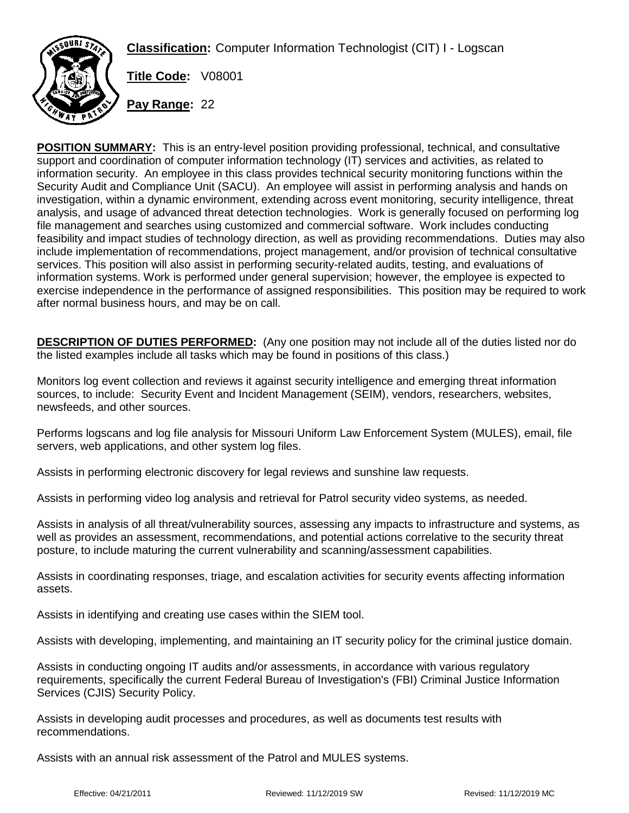**Classification:** Computer Information Technologist (CIT) I - Logscan



**Title Code:** V08001

**Pay Range:** 22

**POSITION SUMMARY:** This is an entry-level position providing professional, technical, and consultative support and coordination of computer information technology (IT) services and activities, as related to information security. An employee in this class provides technical security monitoring functions within the Security Audit and Compliance Unit (SACU). An employee will assist in performing analysis and hands on investigation, within a dynamic environment, extending across event monitoring, security intelligence, threat analysis, and usage of advanced threat detection technologies. Work is generally focused on performing log file management and searches using customized and commercial software. Work includes conducting feasibility and impact studies of technology direction, as well as providing recommendations. Duties may also include implementation of recommendations, project management, and/or provision of technical consultative services. This position will also assist in performing security-related audits, testing, and evaluations of information systems. Work is performed under general supervision; however, the employee is expected to exercise independence in the performance of assigned responsibilities. This position may be required to work after normal business hours, and may be on call.

**DESCRIPTION OF DUTIES PERFORMED:** (Any one position may not include all of the duties listed nor do the listed examples include all tasks which may be found in positions of this class.)

Monitors log event collection and reviews it against security intelligence and emerging threat information sources, to include: Security Event and Incident Management (SEIM), vendors, researchers, websites, newsfeeds, and other sources.

Performs logscans and log file analysis for Missouri Uniform Law Enforcement System (MULES), email, file servers, web applications, and other system log files.

Assists in performing electronic discovery for legal reviews and sunshine law requests.

Assists in performing video log analysis and retrieval for Patrol security video systems, as needed.

Assists in analysis of all threat/vulnerability sources, assessing any impacts to infrastructure and systems, as well as provides an assessment, recommendations, and potential actions correlative to the security threat posture, to include maturing the current vulnerability and scanning/assessment capabilities.

Assists in coordinating responses, triage, and escalation activities for security events affecting information assets.

Assists in identifying and creating use cases within the SIEM tool.

Assists with developing, implementing, and maintaining an IT security policy for the criminal justice domain.

Assists in conducting ongoing IT audits and/or assessments, in accordance with various regulatory requirements, specifically the current Federal Bureau of Investigation's (FBI) Criminal Justice Information Services (CJIS) Security Policy.

Assists in developing audit processes and procedures, as well as documents test results with recommendations.

Assists with an annual risk assessment of the Patrol and MULES systems.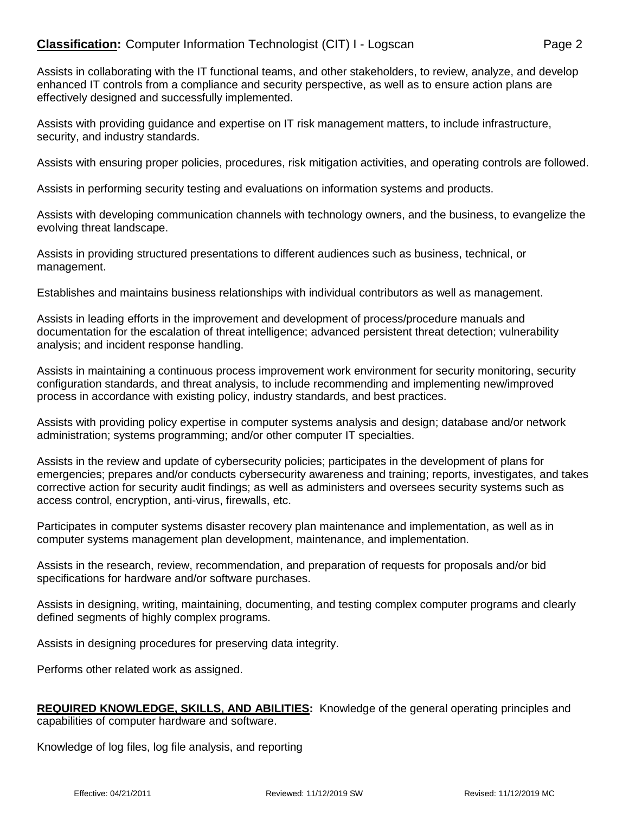## **Classification:** Computer Information Technologist (CIT) I - Logscan Page 2

Assists in collaborating with the IT functional teams, and other stakeholders, to review, analyze, and develop enhanced IT controls from a compliance and security perspective, as well as to ensure action plans are effectively designed and successfully implemented.

Assists with providing guidance and expertise on IT risk management matters, to include infrastructure, security, and industry standards.

Assists with ensuring proper policies, procedures, risk mitigation activities, and operating controls are followed.

Assists in performing security testing and evaluations on information systems and products.

Assists with developing communication channels with technology owners, and the business, to evangelize the evolving threat landscape.

Assists in providing structured presentations to different audiences such as business, technical, or management.

Establishes and maintains business relationships with individual contributors as well as management.

Assists in leading efforts in the improvement and development of process/procedure manuals and documentation for the escalation of threat intelligence; advanced persistent threat detection; vulnerability analysis; and incident response handling.

Assists in maintaining a continuous process improvement work environment for security monitoring, security configuration standards, and threat analysis, to include recommending and implementing new/improved process in accordance with existing policy, industry standards, and best practices.

Assists with providing policy expertise in computer systems analysis and design; database and/or network administration; systems programming; and/or other computer IT specialties.

Assists in the review and update of cybersecurity policies; participates in the development of plans for emergencies; prepares and/or conducts cybersecurity awareness and training; reports, investigates, and takes corrective action for security audit findings; as well as administers and oversees security systems such as access control, encryption, anti-virus, firewalls, etc.

Participates in computer systems disaster recovery plan maintenance and implementation, as well as in computer systems management plan development, maintenance, and implementation.

Assists in the research, review, recommendation, and preparation of requests for proposals and/or bid specifications for hardware and/or software purchases.

Assists in designing, writing, maintaining, documenting, and testing complex computer programs and clearly defined segments of highly complex programs.

Assists in designing procedures for preserving data integrity.

Performs other related work as assigned.

**REQUIRED KNOWLEDGE, SKILLS, AND ABILITIES:** Knowledge of the general operating principles and capabilities of computer hardware and software.

Knowledge of log files, log file analysis, and reporting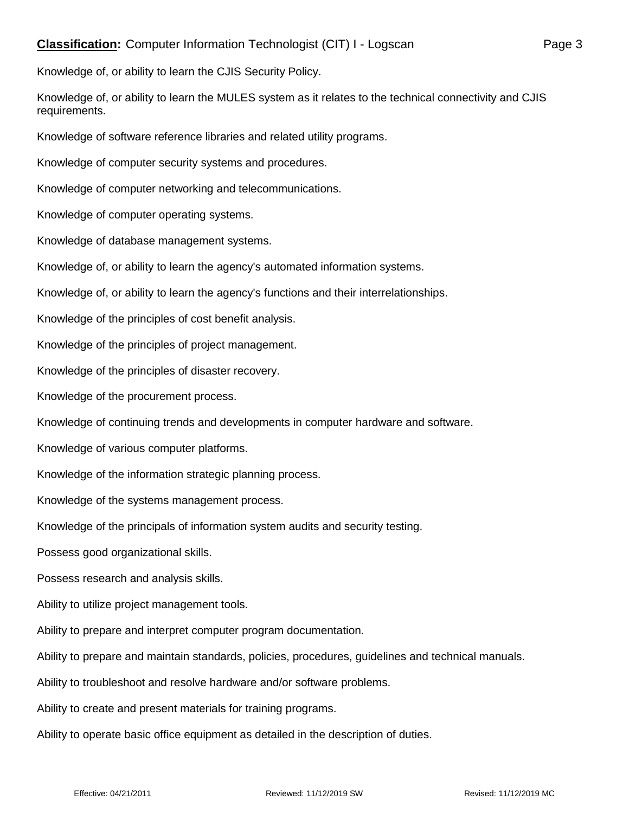Knowledge of, or ability to learn the MULES system as it relates to the technical connectivity and CJIS requirements.

Knowledge of software reference libraries and related utility programs.

Knowledge of computer security systems and procedures.

Knowledge of computer networking and telecommunications.

Knowledge of computer operating systems.

Knowledge of database management systems.

Knowledge of, or ability to learn the agency's automated information systems.

Knowledge of, or ability to learn the agency's functions and their interrelationships.

Knowledge of the principles of cost benefit analysis.

Knowledge of the principles of project management.

Knowledge of the principles of disaster recovery.

Knowledge of the procurement process.

Knowledge of continuing trends and developments in computer hardware and software.

Knowledge of various computer platforms.

Knowledge of the information strategic planning process.

Knowledge of the systems management process.

Knowledge of the principals of information system audits and security testing.

Possess good organizational skills.

Possess research and analysis skills.

Ability to utilize project management tools.

Ability to prepare and interpret computer program documentation.

Ability to prepare and maintain standards, policies, procedures, guidelines and technical manuals.

Ability to troubleshoot and resolve hardware and/or software problems.

Ability to create and present materials for training programs.

Ability to operate basic office equipment as detailed in the description of duties.